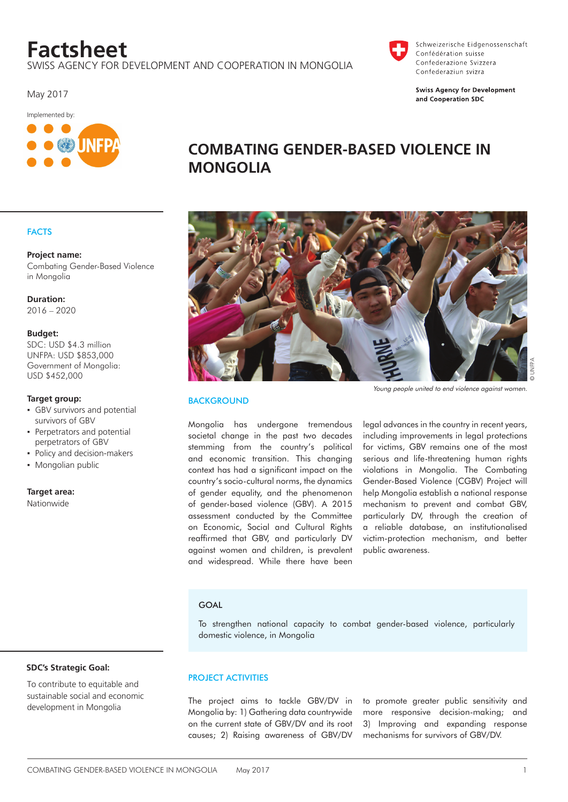# **Factsheet**

swiss agency for development and cooperation in mongolia

May 2017



# **COMBATING GENDER-BASED VIOLENCE IN MONGOLIA**

# **FACTS**

# **Project name:**

Combating Gender-Based Violence in Mongolia

#### **Duration:** 2016 – 2020

# **Budget:**

SDC: USD \$4.3 million UNFPA: USD \$853,000 Government of Mongolia: USD \$452,000

#### **Target group:**

- **·** GBV survivors and potential survivors of GBV
- **•** Perpetrators and potential perpetrators of GBV
- Policy and decision-makers
- Mongolian public

**Target area:**

Nationwide



#### Young people united to end violence against women.

Schweizerische Eidgenossenschaft

**Swiss Agency for Development** and Cooperation SDC

Confédération suisse Confederazione Svizzera Confederaziun svizra

# **BACKGROUND**

Mongolia has undergone tremendous societal change in the past two decades stemming from the country's political and economic transition. This changing context has had a significant impact on the country's socio-cultural norms, the dynamics of gender equality, and the phenomenon of gender-based violence (GBV). A 2015 assessment conducted by the Committee on Economic, Social and Cultural Rights reaffirmed that GBV, and particularly DV against women and children, is prevalent and widespread. While there have been

legal advances in the country in recent years, including improvements in legal protections for victims, GBV remains one of the most serious and life-threatening human rights violations in Mongolia. The Combating Gender-Based Violence (CGBV) Project will help Mongolia establish a national response mechanism to prevent and combat GBV, particularly DV, through the creation of a reliable database, an institutionalised victim-protection mechanism, and better public awareness.

#### **GOAL**

To strengthen national capacity to combat gender-based violence, particularly domestic violence, in Mongolia

#### **SDC's Strategic Goal:**

To contribute to equitable and sustainable social and economic development in Mongolia

# PROJECT ACTIVITIES

The project aims to tackle GBV/DV in Mongolia by: 1) Gathering data countrywide on the current state of GBV/DV and its root causes; 2) Raising awareness of GBV/DV to promote greater public sensitivity and more responsive decision-making; and 3) Improving and expanding response mechanisms for survivors of GBV/DV.